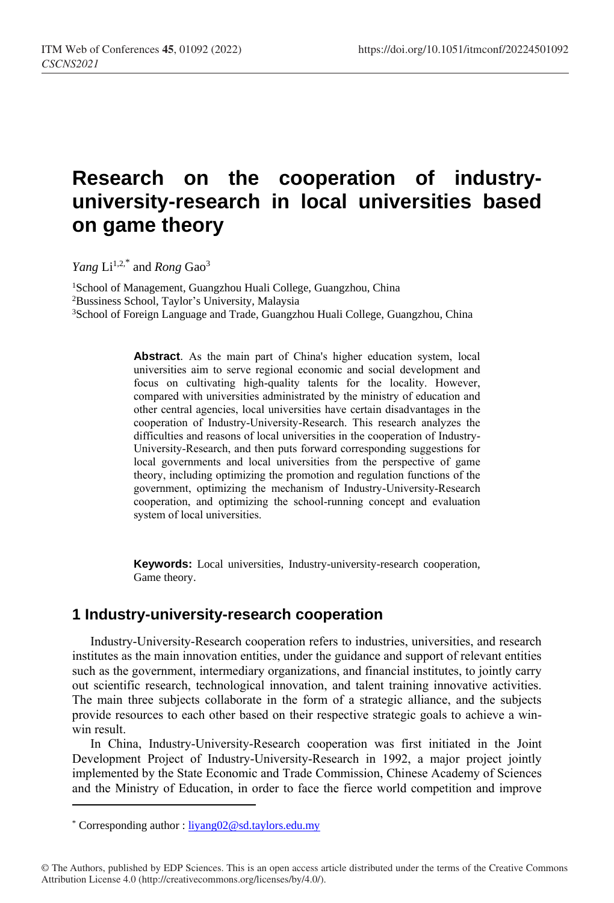# **Research on the cooperation of industryuniversity-research in local universities based on game theory**

*Yang* Li<sup>1,2,\*</sup> and *Rong* Gao<sup>3</sup>

<sup>1</sup>School of Management, Guangzhou Huali College, Guangzhou, China <sup>2</sup>Bussiness School, Taylor's University, Malaysia <sup>3</sup>School of Foreign Language and Trade, Guangzhou Huali College, Guangzhou, China

> **Abstract**. As the main part of China's higher education system, local universities aim to serve regional economic and social development and focus on cultivating high-quality talents for the locality. However, compared with universities administrated by the ministry of education and other central agencies, local universities have certain disadvantages in the cooperation of Industry-University-Research. This research analyzes the difficulties and reasons of local universities in the cooperation of Industry-University-Research, and then puts forward corresponding suggestions for local governments and local universities from the perspective of game theory, including optimizing the promotion and regulation functions of the government, optimizing the mechanism of Industry-University-Research cooperation, and optimizing the school-running concept and evaluation system of local universities.

> **Keywords:** Local universities, Industry-university-research cooperation, Game theory.

# **1 Industry-university-research cooperation**

Industry-University-Research cooperation refers to industries, universities, and research institutes as the main innovation entities, under the guidance and support of relevant entities such as the government, intermediary organizations, and financial institutes, to jointly carry out scientific research, technological innovation, and talent training innovative activities. The main three subjects collaborate in the form of a strategic alliance, and the subjects provide resources to each other based on their respective strategic goals to achieve a winwin result.

In China, Industry-University-Research cooperation was first initiated in the Joint Development Project of Industry-University-Research in 1992, a major project jointly implemented by the State Economic and Trade Commission, Chinese Academy of Sciences and the Ministry of Education, in order to face the fierce world competition and improve

l

<sup>\*</sup> Corresponding author [: liyang02@sd.taylors.edu.my](mailto:liyang02@sd.taylors.edu.my)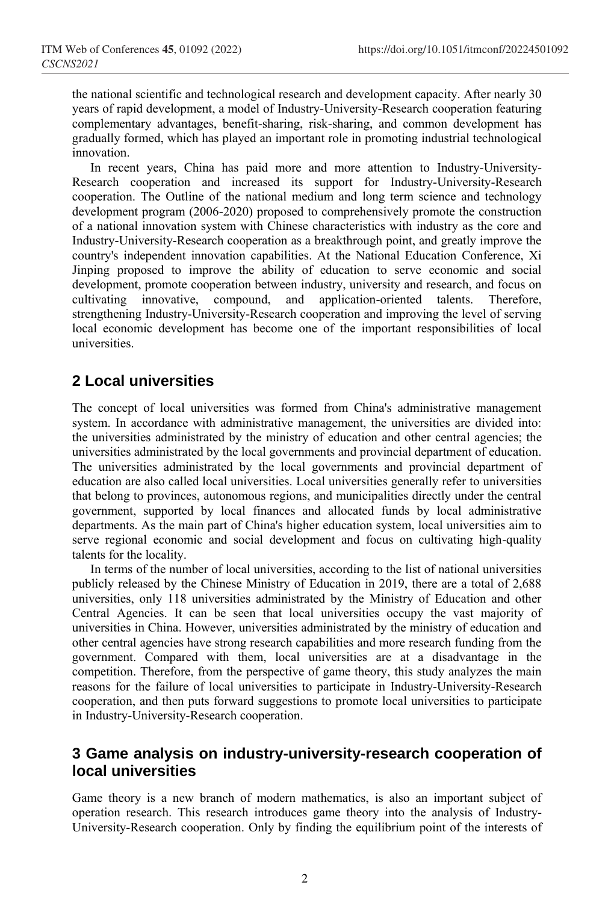the national scientific and technological research and development capacity. After nearly 30 years of rapid development, a model of Industry-University-Research cooperation featuring complementary advantages, benefit-sharing, risk-sharing, and common development has gradually formed, which has played an important role in promoting industrial technological innovation.

In recent years, China has paid more and more attention to Industry-University-Research cooperation and increased its support for Industry-University-Research cooperation. The Outline of the national medium and long term science and technology development program (2006-2020) proposed to comprehensively promote the construction of a national innovation system with Chinese characteristics with industry as the core and Industry-University-Research cooperation as a breakthrough point, and greatly improve the country's independent innovation capabilities. At the National Education Conference, Xi Jinping proposed to improve the ability of education to serve economic and social development, promote cooperation between industry, university and research, and focus on cultivating innovative, compound, and application-oriented talents. Therefore, strengthening Industry-University-Research cooperation and improving the level of serving local economic development has become one of the important responsibilities of local universities.

# **2 Local universities**

The concept of local universities was formed from China's administrative management system. In accordance with administrative management, the universities are divided into: the universities administrated by the ministry of education and other central agencies; the universities administrated by the local governments and provincial department of education. The universities administrated by the local governments and provincial department of education are also called local universities. Local universities generally refer to universities that belong to provinces, autonomous regions, and municipalities directly under the central government, supported by local finances and allocated funds by local administrative departments. As the main part of China's higher education system, local universities aim to serve regional economic and social development and focus on cultivating high-quality talents for the locality.

In terms of the number of local universities, according to the list of national universities publicly released by the Chinese Ministry of Education in 2019, there are a total of 2,688 universities, only 118 universities administrated by the Ministry of Education and other Central Agencies. It can be seen that local universities occupy the vast majority of universities in China. However, universities administrated by the ministry of education and other central agencies have strong research capabilities and more research funding from the government. Compared with them, local universities are at a disadvantage in the competition. Therefore, from the perspective of game theory, this study analyzes the main reasons for the failure of local universities to participate in Industry-University-Research cooperation, and then puts forward suggestions to promote local universities to participate in Industry-University-Research cooperation.

## **3 Game analysis on industry-university-research cooperation of local universities**

Game theory is a new branch of modern mathematics, is also an important subject of operation research. This research introduces game theory into the analysis of Industry-University-Research cooperation. Only by finding the equilibrium point of the interests of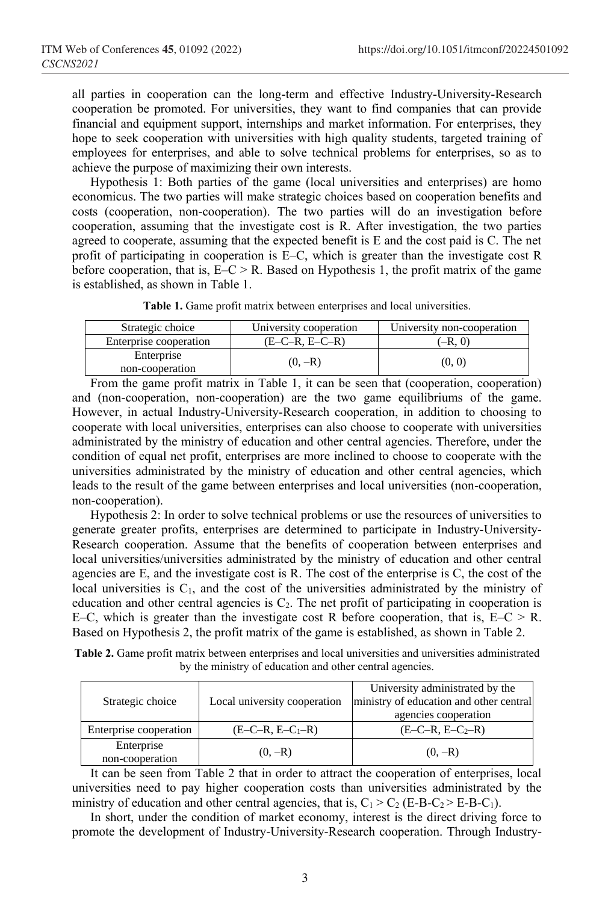all parties in cooperation can the long-term and effective Industry-University-Research cooperation be promoted. For universities, they want to find companies that can provide financial and equipment support, internships and market information. For enterprises, they hope to seek cooperation with universities with high quality students, targeted training of employees for enterprises, and able to solve technical problems for enterprises, so as to achieve the purpose of maximizing their own interests.

Hypothesis 1: Both parties of the game (local universities and enterprises) are homo economicus. The two parties will make strategic choices based on cooperation benefits and costs (cooperation, non-cooperation). The two parties will do an investigation before cooperation, assuming that the investigate cost is R. After investigation, the two parties agreed to cooperate, assuming that the expected benefit is E and the cost paid is C. The net profit of participating in cooperation is E–C, which is greater than the investigate cost R before cooperation, that is,  $E-C \ge R$ . Based on Hypothesis 1, the profit matrix of the game is established, as shown in Table 1.

|  | Table 1. Game profit matrix between enterprises and local universities. |  |  |
|--|-------------------------------------------------------------------------|--|--|
|--|-------------------------------------------------------------------------|--|--|

| Strategic choice              | University cooperation | University non-cooperation |
|-------------------------------|------------------------|----------------------------|
| Enterprise cooperation        | $(E-C-R, E-C-R)$       | $,-R,0$                    |
| Enterprise<br>non-cooperation | $(0, -R)$              | (0. 0)                     |

From the game profit matrix in Table 1, it can be seen that (cooperation, cooperation) and (non-cooperation, non-cooperation) are the two game equilibriums of the game. However, in actual Industry-University-Research cooperation, in addition to choosing to cooperate with local universities, enterprises can also choose to cooperate with universities administrated by the ministry of education and other central agencies. Therefore, under the condition of equal net profit, enterprises are more inclined to choose to cooperate with the universities administrated by the ministry of education and other central agencies, which leads to the result of the game between enterprises and local universities (non-cooperation, non-cooperation).

Hypothesis 2: In order to solve technical problems or use the resources of universities to generate greater profits, enterprises are determined to participate in Industry-University-Research cooperation. Assume that the benefits of cooperation between enterprises and local universities/universities administrated by the ministry of education and other central agencies are E, and the investigate cost is R. The cost of the enterprise is C, the cost of the local universities is  $C_1$ , and the cost of the universities administrated by the ministry of education and other central agencies is  $C_2$ . The net profit of participating in cooperation is E–C, which is greater than the investigate cost R before cooperation, that is,  $E-C \ge R$ . Based on Hypothesis 2, the profit matrix of the game is established, as shown in Table 2.

**Table 2.** Game profit matrix between enterprises and local universities and universities administrated by the ministry of education and other central agencies.

| Strategic choice              | Local university cooperation | University administrated by the<br>ministry of education and other central<br>agencies cooperation |
|-------------------------------|------------------------------|----------------------------------------------------------------------------------------------------|
| Enterprise cooperation        | $(E-C-R, E-C1-R)$            | $(E-C-R, E-C2-R)$                                                                                  |
| Enterprise<br>non-cooperation | $(0, -R)$                    | $(0, -R)$                                                                                          |

It can be seen from Table 2 that in order to attract the cooperation of enterprises, local universities need to pay higher cooperation costs than universities administrated by the ministry of education and other central agencies, that is,  $C_1 > C_2$  (E-B-C<sub>2</sub> > E-B-C<sub>1</sub>).

In short, under the condition of market economy, interest is the direct driving force to promote the development of Industry-University-Research cooperation. Through Industry-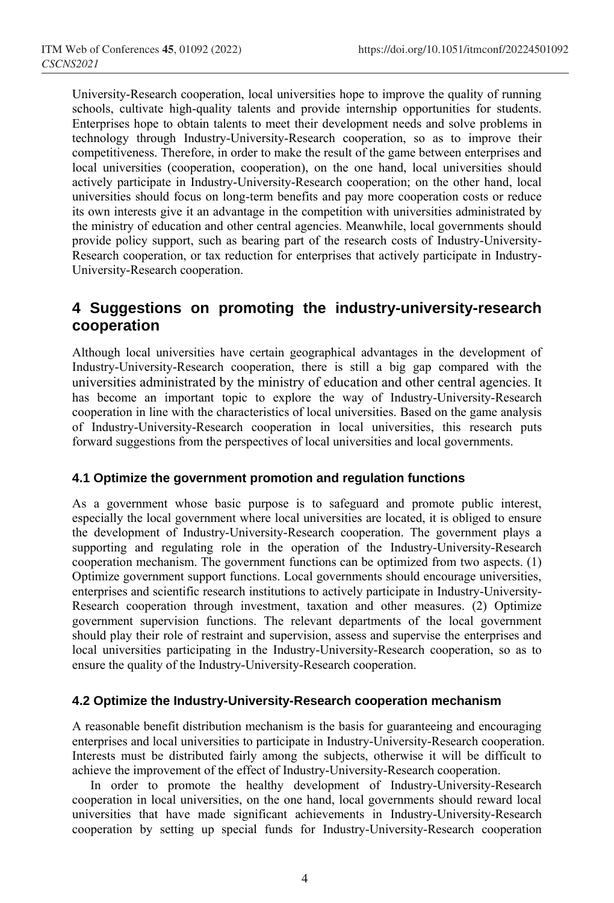University-Research cooperation, local universities hope to improve the quality of running schools, cultivate high-quality talents and provide internship opportunities for students. Enterprises hope to obtain talents to meet their development needs and solve problems in technology through Industry-University-Research cooperation, so as to improve their competitiveness. Therefore, in order to make the result of the game between enterprises and local universities (cooperation, cooperation), on the one hand, local universities should actively participate in Industry-University-Research cooperation; on the other hand, local universities should focus on long-term benefits and pay more cooperation costs or reduce its own interests give it an advantage in the competition with universities administrated by the ministry of education and other central agencies. Meanwhile, local governments should provide policy support, such as bearing part of the research costs of Industry-University-Research cooperation, or tax reduction for enterprises that actively participate in Industry-University-Research cooperation.

# **4 Suggestions on promoting the industry-university-research cooperation**

Although local universities have certain geographical advantages in the development of Industry-University-Research cooperation, there is still a big gap compared with the universities administrated by the ministry of education and other central agencies. It has become an important topic to explore the way of Industry-University-Research cooperation in line with the characteristics of local universities. Based on the game analysis of Industry-University-Research cooperation in local universities, this research puts forward suggestions from the perspectives of local universities and local governments.

## **4.1 Optimize the government promotion and regulation functions**

As a government whose basic purpose is to safeguard and promote public interest, especially the local government where local universities are located, it is obliged to ensure the development of Industry-University-Research cooperation. The government plays a supporting and regulating role in the operation of the Industry-University-Research cooperation mechanism. The government functions can be optimized from two aspects. (1) Optimize government support functions. Local governments should encourage universities, enterprises and scientific research institutions to actively participate in Industry-University-Research cooperation through investment, taxation and other measures. (2) Optimize government supervision functions. The relevant departments of the local government should play their role of restraint and supervision, assess and supervise the enterprises and local universities participating in the Industry-University-Research cooperation, so as to ensure the quality of the Industry-University-Research cooperation.

#### **4.2 Optimize the Industry-University-Research cooperation mechanism**

A reasonable benefit distribution mechanism is the basis for guaranteeing and encouraging enterprises and local universities to participate in Industry-University-Research cooperation. Interests must be distributed fairly among the subjects, otherwise it will be difficult to achieve the improvement of the effect of Industry-University-Research cooperation.

In order to promote the healthy development of Industry-University-Research cooperation in local universities, on the one hand, local governments should reward local universities that have made significant achievements in Industry-University-Research cooperation by setting up special funds for Industry-University-Research cooperation